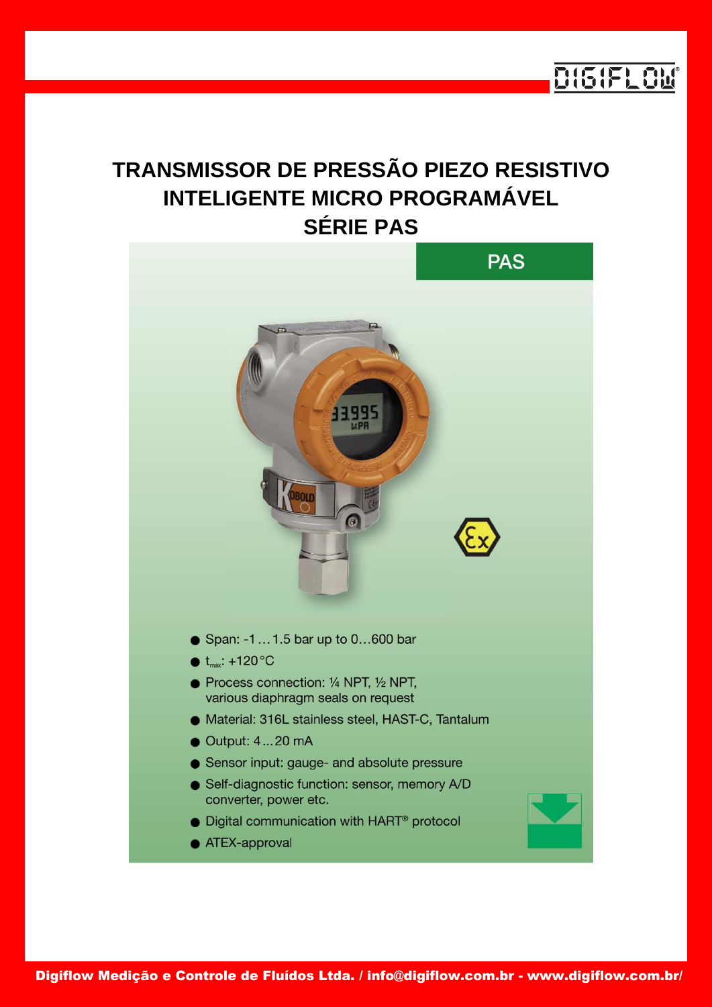

# **TRANSMISSOR DE PRESSÃO PIEZO RESISTIVO INTELIGENTE MICRO PROGRAMÁVEL SÉRIE PAS**

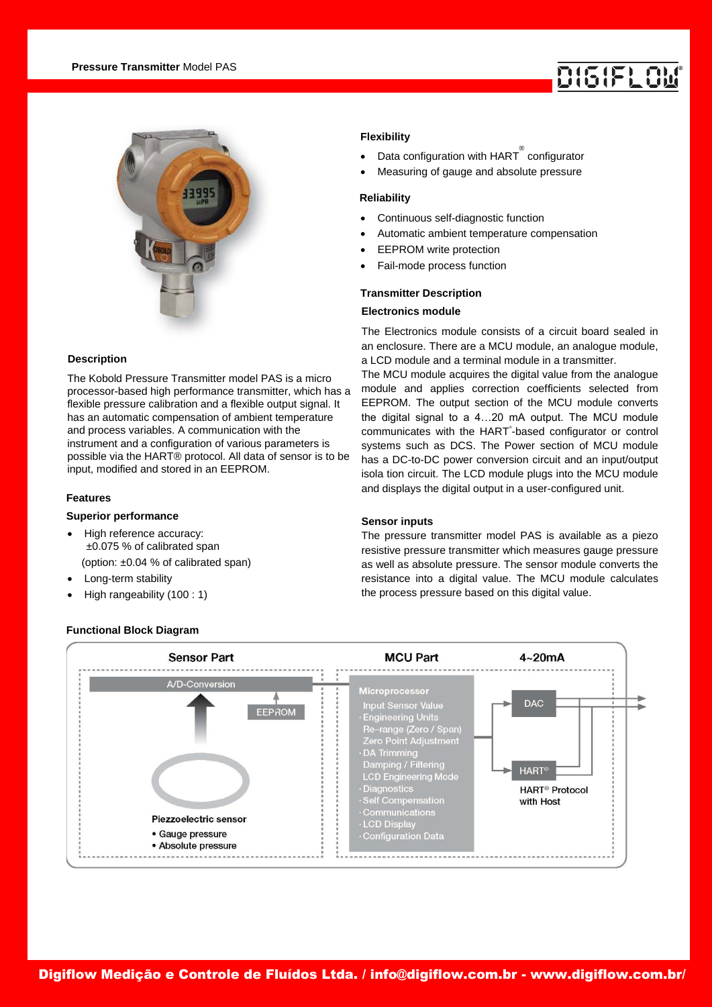

# **Description**

The Kobold Pressure Transmitter model PAS is a micro processor-based high performance transmitter, which has a flexible pressure calibration and a flexible output signal. It has an automatic compensation of ambient temperature and process variables. A communication with the instrument and a configuration of various parameters is possible via the HART® protocol. All data of sensor is to be input, modified and stored in an EEPROM.

### **Features**

# **Superior performance**

- High reference accuracy: ±0.075 % of calibrated span (option: ±0.04 % of calibrated span)
- Long-term stability
- High rangeability (100 : 1)

# **Flexibility**

- Data configuration with  $\text{HART}^{\overset{\circ}{\circ}}$  configurator
- Measuring of gauge and absolute pressure

### **Reliability**

- Continuous self-diagnostic function
- Automatic ambient temperature compensation
- EEPROM write protection
- Fail-mode process function

#### **Transmitter Description**

# **Electronics module**

The Electronics module consists of a circuit board sealed in an enclosure. There are a MCU module, an analogue module, a LCD module and a terminal module in a transmitter.

The MCU module acquires the digital value from the analogue module and applies correction coefficients selected from EEPROM. The output section of the MCU module converts the digital signal to a 4…20 mA output. The MCU module communicates with the HART®-based configurator or control systems such as DCS. The Power section of MCU module has a DC-to-DC power conversion circuit and an input/output isola tion circuit. The LCD module plugs into the MCU module and displays the digital output in a user-configured unit.

# **Sensor inputs**

The pressure transmitter model PAS is available as a piezo resistive pressure transmitter which measures gauge pressure as well as absolute pressure. The sensor module converts the resistance into a digital value. The MCU module calculates the process pressure based on this digital value.



#### **Functional Block Diagram**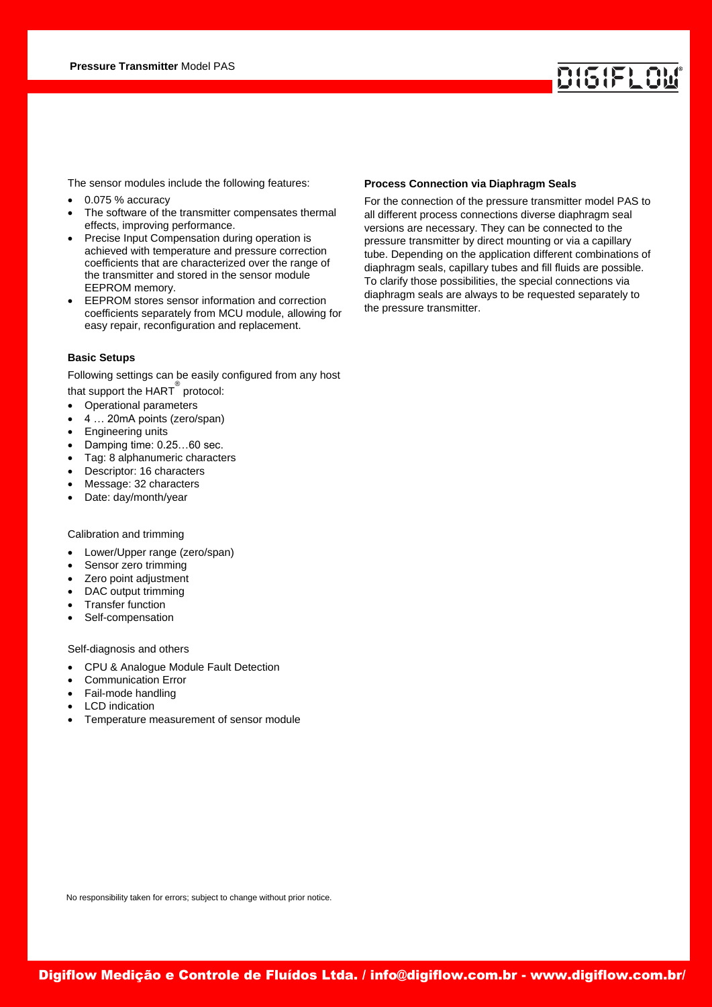The sensor modules include the following features:

- 0.075 % accuracy
- The software of the transmitter compensates thermal effects, improving performance.
- Precise Input Compensation during operation is achieved with temperature and pressure correction coefficients that are characterized over the range of the transmitter and stored in the sensor module EEPROM memory.
- EEPROM stores sensor information and correction coefficients separately from MCU module, allowing for easy repair, reconfiguration and replacement.

#### **Basic Setups**

Following settings can be easily configured from any host that support the HART ® protocol:

- Operational parameters
- 4 … 20mA points (zero/span)
- Engineering units
- Damping time: 0.25…60 sec.
- Tag: 8 alphanumeric characters
- Descriptor: 16 characters
- Message: 32 characters
- Date: day/month/year

### Calibration and trimming

- Lower/Upper range (zero/span)
- Sensor zero trimming
- Zero point adjustment
- DAC output trimming
- Transfer function
- Self-compensation

#### Self-diagnosis and others

- CPU & Analogue Module Fault Detection
- Communication Error
- Fail-mode handling
- LCD indication
- Temperature measurement of sensor module

#### **Process Connection via Diaphragm Seals**

For the connection of the pressure transmitter model PAS to all different process connections diverse diaphragm seal versions are necessary. They can be connected to the pressure transmitter by direct mounting or via a capillary tube. Depending on the application different combinations of diaphragm seals, capillary tubes and fill fluids are possible. To clarify those possibilities, the special connections via diaphragm seals are always to be requested separately to the pressure transmitter.

No responsibility taken for errors; subject to change without prior notice.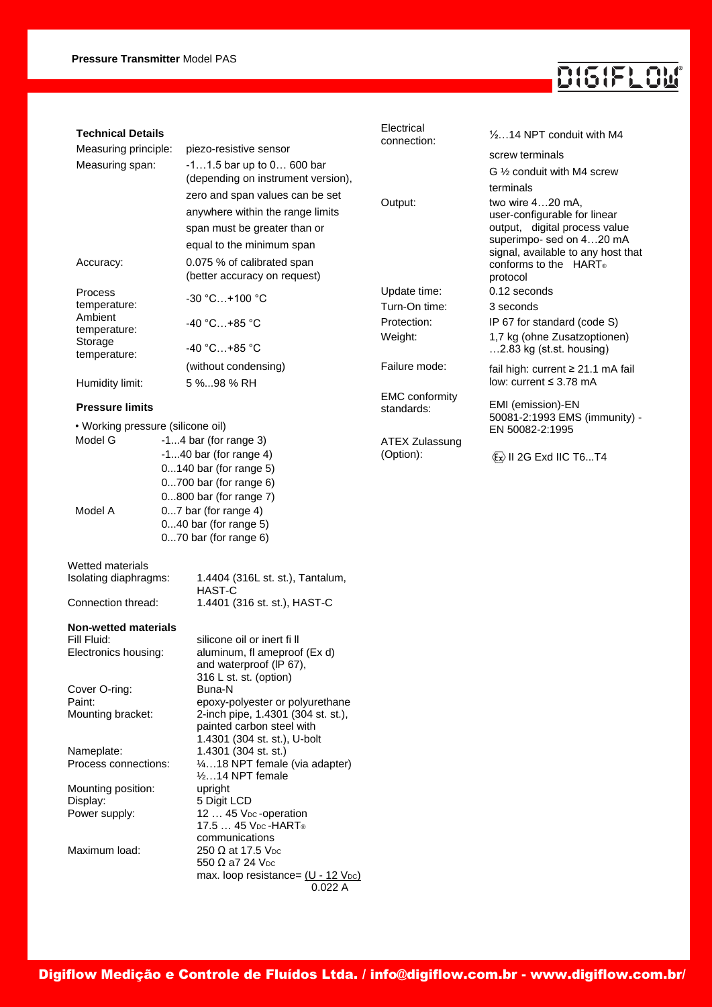# DISIFLOM®

| <b>Technical Details</b>           |  |                                                                   | Electrical<br>connection: | $\frac{1}{2}$ 14 NPT conduit with M4                      |
|------------------------------------|--|-------------------------------------------------------------------|---------------------------|-----------------------------------------------------------|
| Measuring principle:               |  | piezo-resistive sensor                                            |                           | screw terminals                                           |
| Measuring span:                    |  | $-11.5$ bar up to $0$ 600 bar                                     |                           | G 1/2 conduit with M4 screw                               |
|                                    |  | (depending on instrument version),                                |                           | terminals                                                 |
|                                    |  | zero and span values can be set                                   | Output:                   | two wire 420 mA,                                          |
|                                    |  | anywhere within the range limits                                  |                           | user-configurable for linear                              |
|                                    |  | span must be greater than or                                      |                           | output, digital process value<br>superimpo- sed on 420 mA |
|                                    |  | equal to the minimum span                                         |                           | signal, available to any host that                        |
| Accuracy:                          |  | 0.075 % of calibrated span<br>(better accuracy on request)        |                           | conforms to the HART®<br>protocol                         |
| Process                            |  |                                                                   | Update time:              | 0.12 seconds                                              |
| temperature:                       |  | $-30 °C+100 °C$                                                   | Turn-On time:             | 3 seconds                                                 |
| Ambient                            |  | -40 °C+85 °C                                                      | Protection:               | IP 67 for standard (code S)                               |
| temperature:<br>Storage            |  |                                                                   | Weight:                   | 1,7 kg (ohne Zusatzoptionen)                              |
| temperature:                       |  | $-40 °C+85 °C$                                                    |                           | 2.83 kg (st.st. housing)                                  |
|                                    |  | (without condensing)                                              | Failure mode:             | fail high: current $\geq 21.1$ mA fail                    |
| Humidity limit:                    |  | 5 %98 % RH                                                        |                           | low: current $\leq$ 3.78 mA                               |
|                                    |  |                                                                   | <b>EMC</b> conformity     |                                                           |
| <b>Pressure limits</b>             |  |                                                                   | standards:                | EMI (emission)-EN<br>50081-2:1993 EMS (immunity) -        |
| • Working pressure (silicone oil)  |  |                                                                   |                           | EN 50082-2:1995                                           |
| Model G                            |  | $-14$ bar (for range 3)                                           | <b>ATEX Zulassung</b>     |                                                           |
|                                    |  | $-140$ bar (for range 4)                                          | (Option):                 | $\langle x \rangle$ II 2G Exd IIC T6T4                    |
|                                    |  | 0140 bar (for range 5)                                            |                           |                                                           |
|                                    |  | 0700 bar (for range 6)                                            |                           |                                                           |
|                                    |  | 0800 bar (for range 7)                                            |                           |                                                           |
| Model A                            |  | 07 bar (for range 4)<br>$040$ bar (for range 5)                   |                           |                                                           |
|                                    |  | $070$ bar (for range $6$ )                                        |                           |                                                           |
|                                    |  |                                                                   |                           |                                                           |
| Wetted materials                   |  |                                                                   |                           |                                                           |
| Isolating diaphragms:              |  | 1.4404 (316L st. st.), Tantalum,                                  |                           |                                                           |
|                                    |  | HAST-C                                                            |                           |                                                           |
| Connection thread:                 |  | 1.4401 (316 st. st.), HAST-C                                      |                           |                                                           |
| <b>Non-wetted materials</b>        |  |                                                                   |                           |                                                           |
| Fill Fluid:                        |  | silicone oil or inert fill                                        |                           |                                                           |
| Electronics housing:               |  | aluminum, fl ameproof (Ex d)                                      |                           |                                                           |
|                                    |  | and waterproof (IP 67),                                           |                           |                                                           |
| Cover O-ring:                      |  | 316 L st. st. (option)<br>Buna-N                                  |                           |                                                           |
| Paint:                             |  | epoxy-polyester or polyurethane                                   |                           |                                                           |
| Mounting bracket:                  |  | 2-inch pipe, 1.4301 (304 st. st.),                                |                           |                                                           |
|                                    |  | painted carbon steel with                                         |                           |                                                           |
|                                    |  | 1.4301 (304 st. st.), U-bolt                                      |                           |                                                           |
| Nameplate:<br>Process connections: |  | 1.4301 (304 st. st.)<br>$\frac{1}{4}$ 18 NPT female (via adapter) |                           |                                                           |
|                                    |  | $\frac{1}{2}$ 14 NPT female                                       |                           |                                                           |
| Mounting position:                 |  | upright                                                           |                           |                                                           |
| Display:                           |  | 5 Digit LCD                                                       |                           |                                                           |
| Power supply:                      |  | 12  45 V <sub>pc</sub> -operation                                 |                           |                                                           |
|                                    |  | 17.5  45 V <sub>DC</sub> -HART <sup>®</sup><br>communications     |                           |                                                           |
| Maximum load:                      |  | 250 $\Omega$ at 17.5 V <sub>DC</sub>                              |                           |                                                           |
|                                    |  | 550 $\Omega$ a7 24 $V_{DC}$                                       |                           |                                                           |
|                                    |  | max. loop resistance= $(U - 12 \text{ Vpc})$                      |                           |                                                           |
|                                    |  | 0.022A                                                            |                           |                                                           |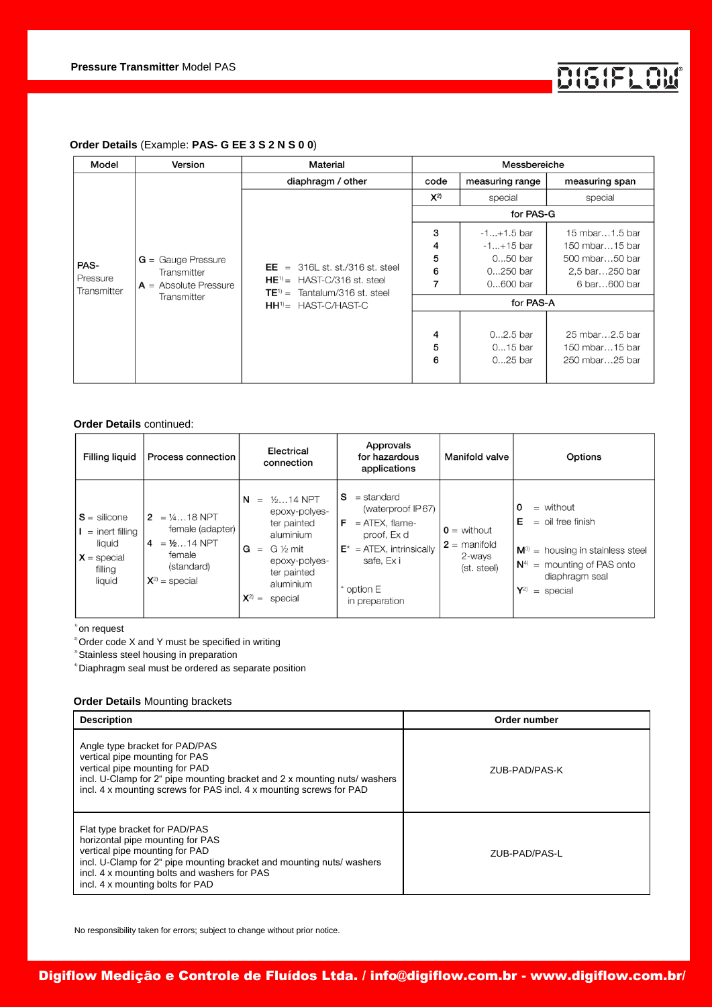

# **Order Details** (Example: **PAS- G EE 3 S 2 N S 0 0**)

| Model                           | Version                                                                       | Material                                                                                                                                           | Messbereiche          |                                                                      |                                                                                      |
|---------------------------------|-------------------------------------------------------------------------------|----------------------------------------------------------------------------------------------------------------------------------------------------|-----------------------|----------------------------------------------------------------------|--------------------------------------------------------------------------------------|
|                                 |                                                                               | diaphragm / other                                                                                                                                  | code                  | measuring range                                                      | measuring span                                                                       |
| PAS-<br>Pressure<br>Transmitter |                                                                               |                                                                                                                                                    | $X^{2)}$              | special                                                              | special                                                                              |
|                                 | $G =$ Gauge Pressure<br>Transmitter<br>$A =$ Absolute Pressure<br>Transmitter | $EE = 316L$ st. st./316 st. steel<br>$HE^{\eta}$ = HAST-C/316 st. steel<br>Tantalum/316 st. steel<br>$TE^{1)} =$<br>$HH^{\dagger}$ = HAST-C/HAST-C | for PAS-G             |                                                                      |                                                                                      |
|                                 |                                                                               |                                                                                                                                                    | 3<br>4<br>5<br>6<br>7 | $-1+1.5$ bar<br>$-1+15$ bar<br>$050$ bar<br>$0250$ bar<br>$0600$ bar | 15 mbar1.5 bar<br>150 mbar15 bar<br>500 mbar50 bar<br>2,5 bar250 bar<br>6 bar600 bar |
|                                 |                                                                               |                                                                                                                                                    | for PAS-A             |                                                                      |                                                                                      |
|                                 |                                                                               |                                                                                                                                                    | 4<br>5<br>6           | $02.5$ bar<br>015 bar<br>$025$ bar                                   | 25 mbar2.5 bar<br>150 mbar15 bar<br>250 mbar25 bar                                   |

#### **Order Details** continued:

| Filling liquid                                                                      | Process connection                                                                                  | Electrical<br>connection                                                                                                                                               | Approvals<br>for hazardous<br>applications                                                                                                                  | Manifold valve                                                    | Options                                                                                                                                                                   |
|-------------------------------------------------------------------------------------|-----------------------------------------------------------------------------------------------------|------------------------------------------------------------------------------------------------------------------------------------------------------------------------|-------------------------------------------------------------------------------------------------------------------------------------------------------------|-------------------------------------------------------------------|---------------------------------------------------------------------------------------------------------------------------------------------------------------------------|
| $S =$ silicone<br>$=$ inert filling<br>liquid<br>$X =$ special<br>filling<br>liquid | $2 = 1418$ NPT<br>female (adapter)<br>$4 = 1/214$ NPT<br>female<br>(standard)<br>$X^{2)}$ = special | $1/214$ NPT<br>N<br>$\equiv$<br>epoxy-polyes-<br>ter painted<br>aluminium<br>G ½ mit<br>G<br>$=$<br>epoxy-polyes-<br>ter painted<br>aluminium<br>$X^{2)} =$<br>special | s<br>$=$ standard<br>(waterproof IP67)<br>F<br>$=$ ATEX, flame-<br>proof. Ex d<br>$E^*$ = ATEX, intrinsically<br>safe, Ex i<br>* option E<br>in preparation | $\mathbf{0}$ = without<br>$2 =$ manifold<br>2-ways<br>(st. steel) | 0<br>$=$ without<br>Е<br>$=$ oil free finish<br>$M^{3}$ = housing in stainless steel<br>$N4$ = mounting of PAS onto<br>diaphragm seal<br>$\mathbf{Y}^{2)}$<br>$=$ special |

1) on request

 $2^{\circ}$  Order code X and Y must be specified in writing

<sup>3</sup> Stainless steel housing in preparation

4) Diaphragm seal must be ordered as separate position

# **Order Details** Mounting brackets

| <b>Description</b>                                                                                                                                                                                                                                               | Order number  |
|------------------------------------------------------------------------------------------------------------------------------------------------------------------------------------------------------------------------------------------------------------------|---------------|
| Angle type bracket for PAD/PAS<br>vertical pipe mounting for PAS<br>vertical pipe mounting for PAD<br>incl. U-Clamp for 2" pipe mounting bracket and 2 x mounting nuts/ washers<br>incl. 4 x mounting screws for PAS incl. 4 x mounting screws for PAD           | ZUB-PAD/PAS-K |
| Flat type bracket for PAD/PAS<br>horizontal pipe mounting for PAS<br>vertical pipe mounting for PAD<br>incl. U-Clamp for 2" pipe mounting bracket and mounting nuts/ washers<br>incl. 4 x mounting bolts and washers for PAS<br>incl. 4 x mounting bolts for PAD | ZUB-PAD/PAS-L |

No responsibility taken for errors; subject to change without prior notice.